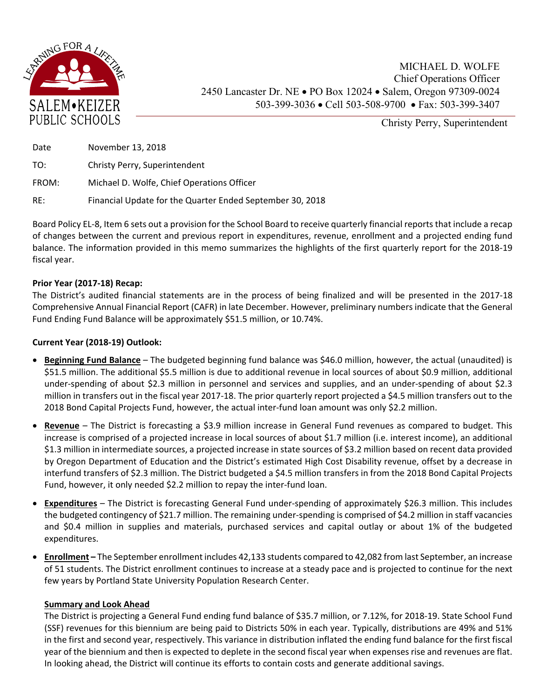

Christy Perry, Superintendent

| Date  | November 13, 2018                                         |
|-------|-----------------------------------------------------------|
| TO:   | Christy Perry, Superintendent                             |
| FROM: | Michael D. Wolfe, Chief Operations Officer                |
| RE:   | Financial Update for the Quarter Ended September 30, 2018 |

Board Policy EL‐8, Item 6 sets out a provision for the School Board to receive quarterly financial reports that include a recap of changes between the current and previous report in expenditures, revenue, enrollment and a projected ending fund balance. The information provided in this memo summarizes the highlights of the first quarterly report for the 2018‐19 fiscal year.

## **Prior Year (2017‐18) Recap:**

The District's audited financial statements are in the process of being finalized and will be presented in the 2017-18 Comprehensive Annual Financial Report (CAFR) in late December. However, preliminary numbers indicate that the General Fund Ending Fund Balance will be approximately \$51.5 million, or 10.74%.

## **Current Year (2018‐19) Outlook:**

- **Beginning Fund Balance** The budgeted beginning fund balance was \$46.0 million, however, the actual (unaudited) is \$51.5 million. The additional \$5.5 million is due to additional revenue in local sources of about \$0.9 million, additional under-spending of about \$2.3 million in personnel and services and supplies, and an under-spending of about \$2.3 million in transfers out in the fiscal year 2017‐18. The prior quarterly report projected a \$4.5 million transfers out to the 2018 Bond Capital Projects Fund, however, the actual inter-fund loan amount was only \$2.2 million.
- **Revenue**  The District is forecasting a \$3.9 million increase in General Fund revenues as compared to budget. This increase is comprised of a projected increase in local sources of about \$1.7 million (i.e. interest income), an additional \$1.3 million in intermediate sources, a projected increase in state sources of \$3.2 million based on recent data provided by Oregon Department of Education and the District's estimated High Cost Disability revenue, offset by a decrease in interfund transfers of \$2.3 million. The District budgeted a \$4.5 million transfers in from the 2018 Bond Capital Projects Fund, however, it only needed \$2.2 million to repay the inter-fund loan.
- **Expenditures** The District is forecasting General Fund under-spending of approximately \$26.3 million. This includes the budgeted contingency of \$21.7 million. The remaining under‐spending is comprised of \$4.2 million in staff vacancies and \$0.4 million in supplies and materials, purchased services and capital outlay or about 1% of the budgeted expenditures.
- **Enrollment** The September enrollment includes 42,133 students compared to 42,082 from last September, an increase of 51 students. The District enrollment continues to increase at a steady pace and is projected to continue for the next few years by Portland State University Population Research Center.

## **Summary and Look Ahead**

The District is projecting a General Fund ending fund balance of \$35.7 million, or 7.12%, for 2018‐19. State School Fund (SSF) revenues for this biennium are being paid to Districts 50% in each year. Typically, distributions are 49% and 51% in the first and second year, respectively. This variance in distribution inflated the ending fund balance for the first fiscal year of the biennium and then is expected to deplete in the second fiscal year when expenses rise and revenues are flat. In looking ahead, the District will continue its efforts to contain costs and generate additional savings.